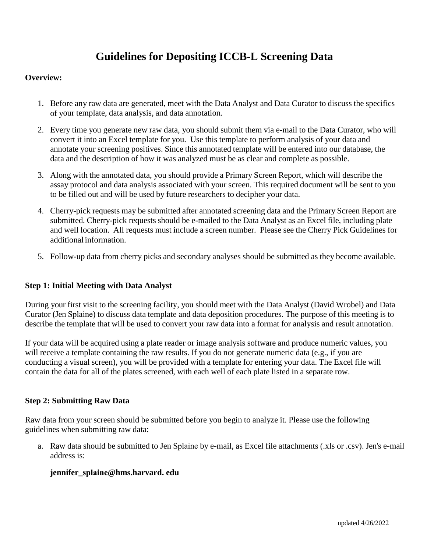# **Guidelines for Depositing ICCB-L Screening Data**

### **Overview:**

- 1. Before any raw data are generated, meet with the Data Analyst and Data Curator to discuss the specifics of your template, data analysis, and data annotation.
- 2. Every time you generate new raw data, you should submit them via e-mail to the Data Curator, who will convert it into an Excel template for you. Use this template to perform analysis of your data and annotate your screening positives. Since this annotated template will be entered into our database, the data and the description of how it was analyzed must be as clear and complete as possible.
- 3. Along with the annotated data, you should provide a Primary Screen Report, which will describe the assay protocol and data analysis associated with your screen. This required document will be sent to you to be filled out and will be used by future researchers to decipher your data.
- 4. Cherry-pick requests may be submitted after annotated screening data and the Primary Screen Report are submitted. Cherry-pick requests should be e-mailed to the Data Analyst as an Excel file, including plate and well location. All requests must include a screen number. Please see the Cherry Pick Guidelines for additional information.
- 5. Follow-up data from cherry picks and secondary analyses should be submitted as they become available.

## **Step 1: Initial Meeting with Data Analyst**

During your first visit to the screening facility, you should meet with the Data Analyst (David Wrobel) and Data Curator (Jen Splaine) to discuss data template and data deposition procedures. The purpose of this meeting is to describe the template that will be used to convert your raw data into a format for analysis and result annotation.

If your data will be acquired using a plate reader or image analysis software and produce numeric values, you will receive a template containing the raw results. If you do not generate numeric data (e.g., if you are conducting a visual screen), you will be provided with a template for entering your data. The Excel file will contain the data for all of the plates screened, with each well of each plate listed in a separate row.

### **Step 2: Submitting Raw Data**

Raw data from your screen should be submitted before you begin to analyze it. Please use the following guidelines when submitting raw data:

a. Raw data should be submitted to Jen Splaine by e-mail, as Excel file attachments (.xls or .csv). Jen's e-mail address is:

### **jennifer\_splaine[@hms.harvard.](mailto:jennifer_nale@hms.harvard.edu) edu**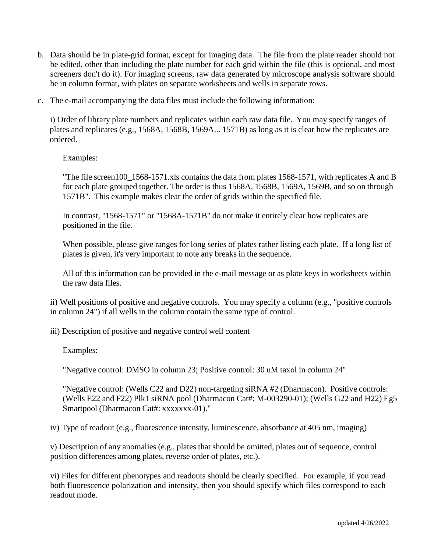- b. Data should be in plate-grid format, except for imaging data. The file from the plate reader should not be edited, other than including the plate number for each grid within the file (this is optional, and most screeners don't do it). For imaging screens, raw data generated by microscope analysis software should be in column format, with plates on separate worksheets and wells in separate rows.
- c. The e-mail accompanying the data files must include the following information:

i) Order of library plate numbers and replicates within each raw data file. You may specify ranges of plates and replicates (e.g., 1568A, 1568B, 1569A... 1571B) as long as it is clear how the replicates are ordered.

## Examples:

"The file screen100\_1568-1571.xls contains the data from plates 1568-1571, with replicates A and B for each plate grouped together. The order is thus 1568A, 1568B, 1569A, 1569B, and so on through 1571B". This example makes clear the order of grids within the specified file.

In contrast, "1568-1571" or "1568A-1571B" do not make it entirely clear how replicates are positioned in the file.

When possible, please give ranges for long series of plates rather listing each plate. If a long list of plates is given, it's very important to note any breaks in the sequence.

All of this information can be provided in the e-mail message or as plate keys in worksheets within the raw data files.

ii) Well positions of positive and negative controls. You may specify a column (e.g., "positive controls in column 24") if all wells in the column contain the same type of control.

iii) Description of positive and negative control well content

Examples:

"Negative control: DMSO in column 23; Positive control: 30 uM taxol in column 24"

"Negative control: (Wells C22 and D22) non-targeting siRNA #2 (Dharmacon). Positive controls: (Wells E22 and F22) Plk1 siRNA pool (Dharmacon Cat#: M-003290-01); (Wells G22 and H22) Eg5 Smartpool (Dharmacon Cat#: xxxxxxx-01)."

iv) Type of readout (e.g., fluorescence intensity, luminescence, absorbance at 405 nm, imaging)

v) Description of any anomalies (e.g., plates that should be omitted, plates out of sequence, control position differences among plates, reverse order of plates, etc.).

vi) Files for different phenotypes and readouts should be clearly specified. For example, if you read both fluorescence polarization and intensity, then you should specify which files correspond to each readout mode.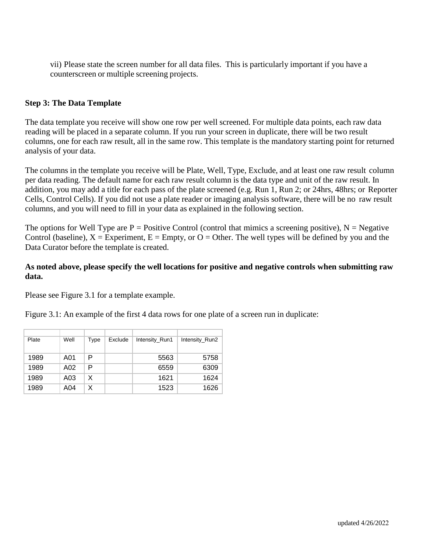vii) Please state the screen number for all data files. This is particularly important if you have a counterscreen or multiple screening projects.

## **Step 3: The Data Template**

The data template you receive will show one row per well screened. For multiple data points, each raw data reading will be placed in a separate column. If you run your screen in duplicate, there will be two result columns, one for each raw result, all in the same row. This template is the mandatory starting point for returned analysis of your data.

The columns in the template you receive will be Plate, Well, Type, Exclude, and at least one raw result column per data reading. The default name for each raw result column is the data type and unit of the raw result. In addition, you may add a title for each pass of the plate screened (e.g. Run 1, Run 2; or 24hrs, 48hrs; or Reporter Cells, Control Cells). If you did not use a plate reader or imaging analysis software, there will be no raw result columns, and you will need to fill in your data as explained in the following section.

The options for Well Type are  $P =$  Positive Control (control that mimics a screening positive),  $N =$  Negative Control (baseline),  $X =$  Experiment,  $E =$  Empty, or  $O =$  Other. The well types will be defined by you and the Data Curator before the template is created.

## **As noted above, please specify the well locations for positive and negative controls when submitting raw data.**

Please see Figure 3.1 for a template example.

Figure 3.1: An example of the first 4 data rows for one plate of a screen run in duplicate:

| Plate | Well | Type | Exclude | Intensity_Run1 | Intensity_Run2 |
|-------|------|------|---------|----------------|----------------|
|       |      |      |         |                |                |
| 1989  | A01  | Р    |         | 5563           | 5758           |
| 1989  | A02  | Р    |         | 6559           | 6309           |
| 1989  | A03  | X    |         | 1621           | 1624           |
| 1989  | A04  | X    |         | 1523           | 1626           |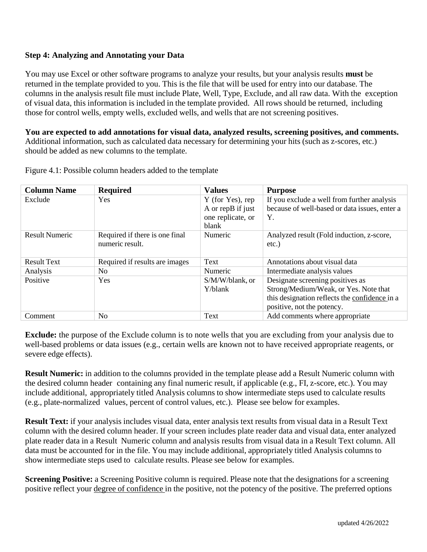## **Step 4: Analyzing and Annotating your Data**

You may use Excel or other software programs to analyze your results, but your analysis results **must** be returned in the template provided to you. This is the file that will be used for entry into our database. The columns in the analysis result file must include Plate, Well, Type, Exclude, and all raw data. With the exception of visual data, this information is included in the template provided. All rows should be returned, including those for control wells, empty wells, excluded wells, and wells that are not screening positives.

**You are expected to add annotations for visual data, analyzed results, screening positives, and comments.** Additional information, such as calculated data necessary for determining your hits (such as z-scores, etc.) should be added as new columns to the template.

| <b>Column Name</b>    | <b>Required</b>                | <b>Values</b>     | <b>Purpose</b>                                |
|-----------------------|--------------------------------|-------------------|-----------------------------------------------|
| Exclude               | <b>Yes</b>                     | Y (for Yes), rep  | If you exclude a well from further analysis   |
|                       |                                | A or repB if just | because of well-based or data issues, enter a |
|                       |                                | one replicate, or | Y.                                            |
|                       |                                | blank             |                                               |
| <b>Result Numeric</b> | Required if there is one final | Numeric           | Analyzed result (Fold induction, z-score,     |
|                       | numeric result.                |                   | $etc.$ )                                      |
|                       |                                |                   |                                               |
| <b>Result Text</b>    | Required if results are images | Text              | Annotations about visual data                 |
| Analysis              | No                             | Numeric           | Intermediate analysis values                  |
| Positive              | <b>Yes</b>                     | S/M/W/blank, or   | Designate screening positives as              |
|                       |                                | Y/blank           | Strong/Medium/Weak, or Yes. Note that         |
|                       |                                |                   | this designation reflects the confidence in a |
|                       |                                |                   | positive, not the potency.                    |
| Comment               | No.                            | Text              | Add comments where appropriate                |

Figure 4.1: Possible column headers added to the template

**Exclude:** the purpose of the Exclude column is to note wells that you are excluding from your analysis due to well-based problems or data issues (e.g., certain wells are known not to have received appropriate reagents, or severe edge effects).

**Result Numeric:** in addition to the columns provided in the template please add a Result Numeric column with the desired column header containing any final numeric result, if applicable (e.g., FI, z-score, etc.). You may include additional, appropriately titled Analysis columns to show intermediate steps used to calculate results (e.g., plate-normalized values, percent of control values, etc.). Please see below for examples.

**Result Text:** if your analysis includes visual data, enter analysis text results from visual data in a Result Text column with the desired column header. If your screen includes plate reader data and visual data, enter analyzed plate reader data in a Result Numeric column and analysis results from visual data in a Result Text column. All data must be accounted for in the file. You may include additional, appropriately titled Analysis columns to show intermediate steps used to calculate results. Please see below for examples.

**Screening Positive:** a Screening Positive column is required. Please note that the designations for a screening positive reflect your degree of confidence in the positive, not the potency of the positive. The preferred options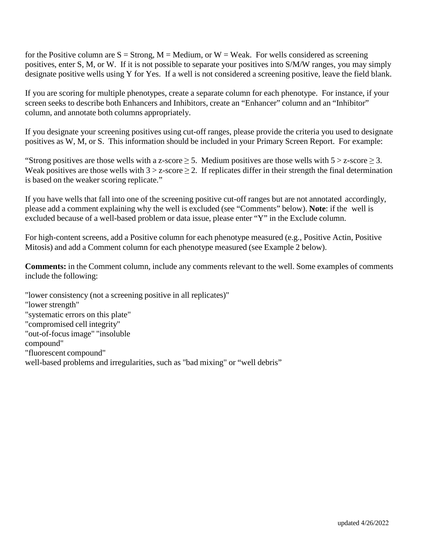for the Positive column are  $S =$  Strong,  $M =$  Medium, or  $W =$  Weak. For wells considered as screening positives, enter S, M, or W. If it is not possible to separate your positives into S/M/W ranges, you may simply designate positive wells using Y for Yes. If a well is not considered a screening positive, leave the field blank.

If you are scoring for multiple phenotypes, create a separate column for each phenotype. For instance, if your screen seeks to describe both Enhancers and Inhibitors, create an "Enhancer" column and an "Inhibitor" column, and annotate both columns appropriately.

If you designate your screening positives using cut-off ranges, please provide the criteria you used to designate positives as W, M, or S. This information should be included in your Primary Screen Report. For example:

"Strong positives are those wells with a z-score  $\geq$  5. Medium positives are those wells with  $5 > z$ -score  $\geq$  3. Weak positives are those wells with  $3 > z$ -score  $\ge 2$ . If replicates differ in their strength the final determination is based on the weaker scoring replicate."

If you have wells that fall into one of the screening positive cut-off ranges but are not annotated accordingly, please add a comment explaining why the well is excluded (see "Comments" below). **Note**: if the well is excluded because of a well-based problem or data issue, please enter "Y" in the Exclude column.

For high-content screens, add a Positive column for each phenotype measured (e.g., Positive Actin, Positive Mitosis) and add a Comment column for each phenotype measured (see Example 2 below).

**Comments:** in the Comment column, include any comments relevant to the well. Some examples of comments include the following:

"lower consistency (not a screening positive in all replicates)" "lower strength" "systematic errors on this plate" "compromised cell integrity" "out-of-focus image" "insoluble compound" "fluorescent compound" well-based problems and irregularities, such as "bad mixing" or "well debris"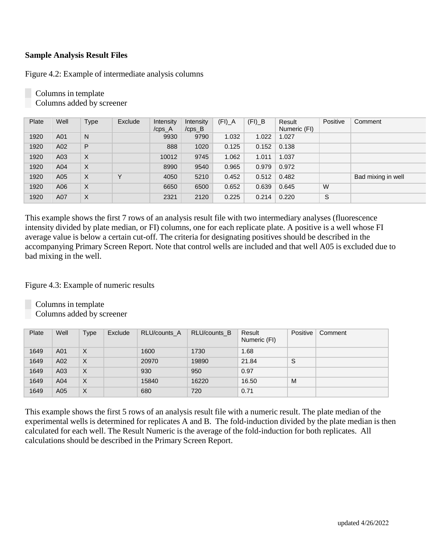## **Sample Analysis Result Files**

Figure 4.2: Example of intermediate analysis columns

| Plate | Well | <b>Type</b> | Exclude     | Intensity<br>/cps_A | Intensity<br>$/cps$ <sub>B</sub> | $(FI)$ <sup>A</sup> | $(FI)$ <sub>B</sub> | Result<br>Numeric (FI) | Positive | Comment            |
|-------|------|-------------|-------------|---------------------|----------------------------------|---------------------|---------------------|------------------------|----------|--------------------|
| 1920  | A01  | N           |             | 9930                | 9790                             | 1.032               | 1.022               | 1.027                  |          |                    |
| 1920  | A02  | P           |             | 888                 | 1020                             | 0.125               | 0.152               | 0.138                  |          |                    |
| 1920  | A03  | X           |             | 10012               | 9745                             | 1.062               | 1.011               | 1.037                  |          |                    |
| 1920  | A04  | $\times$    |             | 8990                | 9540                             | 0.965               | 0.979               | 0.972                  |          |                    |
| 1920  | A05  | $\times$    | $\check{ }$ | 4050                | 5210                             | 0.452               | 0.512               | 0.482                  |          | Bad mixing in well |
| 1920  | A06  | X           |             | 6650                | 6500                             | 0.652               | 0.639               | 0.645                  | W        |                    |
| 1920  | A07  | X           |             | 2321                | 2120                             | 0.225               | 0.214               | 0.220                  | S        |                    |

Columns in template Columns added by screener

This example shows the first 7 rows of an analysis result file with two intermediary analyses (fluorescence intensity divided by plate median, or FI) columns, one for each replicate plate. A positive is a well whose FI average value is below a certain cut-off. The criteria for designating positives should be described in the accompanying Primary Screen Report. Note that control wells are included and that well A05 is excluded due to bad mixing in the well.

Figure 4.3: Example of numeric results

Columns in template Columns added by screener

| Plate | Well | <b>Type</b> | Exclude | RLU/counts A | RLU/counts B | Result<br>Numeric (FI) | Positive | Comment |
|-------|------|-------------|---------|--------------|--------------|------------------------|----------|---------|
| 1649  | A01  | $\times$    |         | 1600         | 1730         | 1.68                   |          |         |
| 1649  | A02  | $\times$    |         | 20970        | 19890        | 21.84                  | S        |         |
| 1649  | A03  | $\times$    |         | 930          | 950          | 0.97                   |          |         |
| 1649  | A04  | $\times$    |         | 15840        | 16220        | 16.50                  | M        |         |
| 1649  | A05  | $\times$    |         | 680          | 720          | 0.71                   |          |         |

This example shows the first 5 rows of an analysis result file with a numeric result. The plate median of the experimental wells is determined for replicates A and B. The fold-induction divided by the plate median is then calculated for each well. The Result Numeric is the average of the fold-induction for both replicates. All calculations should be described in the Primary Screen Report.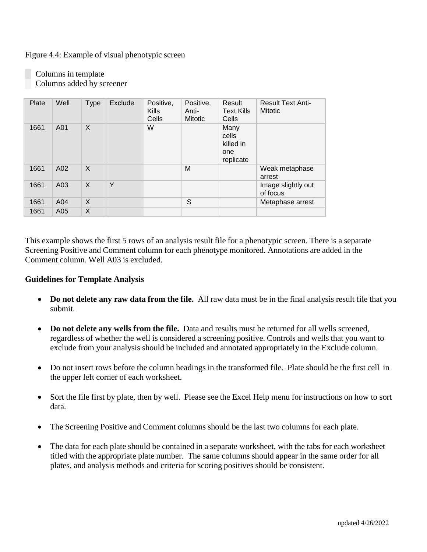Figure 4.4: Example of visual phenotypic screen

Columns in template Columns added by screener

| Plate | Well | <b>Type</b>  | Exclude | Positive,<br>Kills<br>Cells | Positive,<br>Anti-<br><b>Mitotic</b> | Result<br><b>Text Kills</b><br>Cells           | <b>Result Text Anti-</b><br><b>Mitotic</b> |
|-------|------|--------------|---------|-----------------------------|--------------------------------------|------------------------------------------------|--------------------------------------------|
| 1661  | A01  | $\mathsf{X}$ |         | W                           |                                      | Many<br>cells<br>killed in<br>one<br>replicate |                                            |
| 1661  | A02  | $\mathsf{X}$ |         |                             | M                                    |                                                | Weak metaphase<br>arrest                   |
| 1661  | A03  | X            | Y       |                             |                                      |                                                | Image slightly out<br>of focus             |
| 1661  | A04  | $\mathsf{X}$ |         |                             | S                                    |                                                | Metaphase arrest                           |
| 1661  | A05  | X            |         |                             |                                      |                                                |                                            |

This example shows the first 5 rows of an analysis result file for a phenotypic screen. There is a separate Screening Positive and Comment column for each phenotype monitored. Annotations are added in the Comment column. Well A03 is excluded.

#### **Guidelines for Template Analysis**

- **Do not delete any raw data from the file.** All raw data must be in the final analysis result file that you submit.
- **Do not delete any wells from the file.** Data and results must be returned for all wells screened, regardless of whether the well is considered a screening positive. Controls and wells that you want to exclude from your analysis should be included and annotated appropriately in the Exclude column.
- Do not insert rows before the column headings in the transformed file. Plate should be the first cell in the upper left corner of each worksheet.
- Sort the file first by plate, then by well. Please see the Excel Help menu for instructions on how to sort data.
- The Screening Positive and Comment columns should be the last two columns for each plate.
- The data for each plate should be contained in a separate worksheet, with the tabs for each worksheet titled with the appropriate plate number. The same columns should appear in the same order for all plates, and analysis methods and criteria for scoring positives should be consistent.